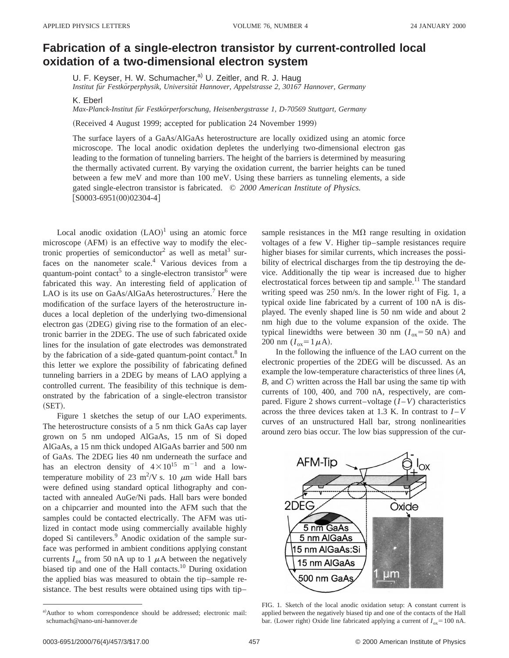## **Fabrication of a single-electron transistor by current-controlled local oxidation of a two-dimensional electron system**

U. F. Keyser, H. W. Schumacher,<sup>a)</sup> U. Zeitler, and R. J. Haug

*Institut fu¨r Festko¨rperphysik, Universita¨t Hannover, Appelstrasse 2, 30167 Hannover, Germany*

K. Eberl

*Max-Planck-Institut fu¨r Festko¨rperforschung, Heisenbergstrasse 1, D-70569 Stuttgart, Germany*

(Received 4 August 1999; accepted for publication 24 November 1999)

The surface layers of a GaAs/AlGaAs heterostructure are locally oxidized using an atomic force microscope. The local anodic oxidation depletes the underlying two-dimensional electron gas leading to the formation of tunneling barriers. The height of the barriers is determined by measuring the thermally activated current. By varying the oxidation current, the barrier heights can be tuned between a few meV and more than 100 meV. Using these barriers as tunneling elements, a side gated single-electron transistor is fabricated. © *2000 American Institute of Physics.*  $[$0003-6951(00)02304-4]$ 

Local anodic oxidation  $(LAO)^1$  using an atomic force microscope (AFM) is an effective way to modify the electronic properties of semiconductor<sup>2</sup> as well as metal<sup>3</sup> surfaces on the nanometer scale.<sup>4</sup> Various devices from a quantum-point contact<sup>5</sup> to a single-electron transistor<sup>6</sup> were fabricated this way. An interesting field of application of LAO is its use on GaAs/AlGaAs heterostructures.<sup>7</sup> Here the modification of the surface layers of the heterostructure induces a local depletion of the underlying two-dimensional electron gas  $(2DEG)$  giving rise to the formation of an electronic barrier in the 2DEG. The use of such fabricated oxide lines for the insulation of gate electrodes was demonstrated by the fabrication of a side-gated quantum-point contact.<sup>8</sup> In this letter we explore the possibility of fabricating defined tunneling barriers in a 2DEG by means of LAO applying a controlled current. The feasibility of this technique is demonstrated by the fabrication of a single-electron transistor  $(SET).$ 

Figure 1 sketches the setup of our LAO experiments. The heterostructure consists of a 5 nm thick GaAs cap layer grown on 5 nm undoped AlGaAs, 15 nm of Si doped AlGaAs, a 15 nm thick undoped AlGaAs barrier and 500 nm of GaAs. The 2DEG lies 40 nm underneath the surface and has an electron density of  $4 \times 10^{15}$  m<sup>-1</sup> and a lowtemperature mobility of 23 m<sup>2</sup>/V s. 10  $\mu$ m wide Hall bars were defined using standard optical lithography and contacted with annealed AuGe/Ni pads. Hall bars were bonded on a chipcarrier and mounted into the AFM such that the samples could be contacted electrically. The AFM was utilized in contact mode using commercially available highly doped Si cantilevers.<sup>9</sup> Anodic oxidation of the sample surface was performed in ambient conditions applying constant currents  $I_{ox}$  from 50 nA up to 1  $\mu$ A between the negatively biased tip and one of the Hall contacts.10 During oxidation the applied bias was measured to obtain the tip–sample resistance. The best results were obtained using tips with tip–

sample resistances in the  $M\Omega$  range resulting in oxidation voltages of a few V. Higher tip–sample resistances require higher biases for similar currents, which increases the possibility of electrical discharges from the tip destroying the device. Additionally the tip wear is increased due to higher electrostatical forces between tip and sample.<sup>11</sup> The standard writing speed was 250 nm/s. In the lower right of Fig. 1, a typical oxide line fabricated by a current of 100 nA is displayed. The evenly shaped line is 50 nm wide and about 2 nm high due to the volume expansion of the oxide. The typical linewidths were between 30 nm  $(I_{ox} = 50 \text{ nA})$  and 200 nm  $(I_{ox} = 1 \mu A)$ .

In the following the influence of the LAO current on the electronic properties of the 2DEG will be discussed. As an example the low-temperature characteristics of three lines (A, *B*, and *C*! written across the Hall bar using the same tip with currents of 100, 400, and 700 nA, respectively, are compared. Figure 2 shows current–voltage  $(I - V)$  characteristics across the three devices taken at 1.3 K. In contrast to  $I-V$ curves of an unstructured Hall bar, strong nonlinearities around zero bias occur. The low bias suppression of the cur-



FIG. 1. Sketch of the local anodic oxidation setup: A constant current is applied between the negatively biased tip and one of the contacts of the Hall bar. (Lower right) Oxide line fabricated applying a current of  $I_{ox} = 100$  nA.

a)Author to whom correspondence should be addressed; electronic mail: schumach@nano-uni-hannover.de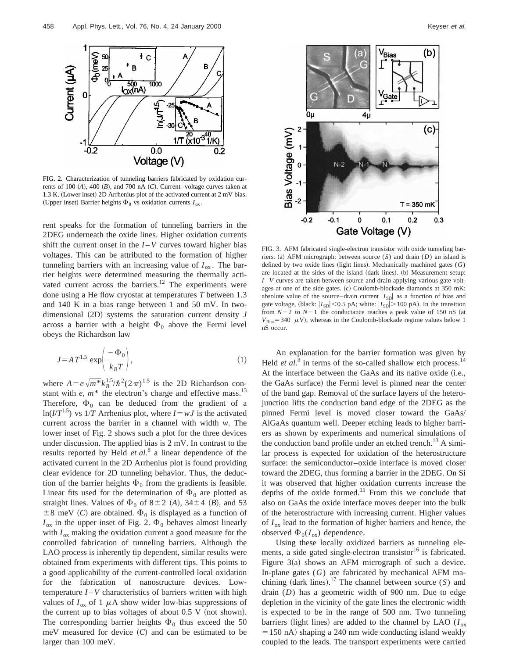

FIG. 2. Characterization of tunneling barriers fabricated by oxidation currents of 100  $(A)$ , 400  $(B)$ , and 700 nA  $(C)$ . Current–voltage curves taken at 1.3 K. (Lower inset) 2D Arrhenius plot of the activated current at  $2 \text{ mV}$  bias. (Upper inset) Barrier heights  $\Phi_0$  vs oxidation currents  $I_{ox}$ .

rent speaks for the formation of tunneling barriers in the 2DEG underneath the oxide lines. Higher oxidation currents shift the current onset in the  $I - V$  curves toward higher bias voltages. This can be attributed to the formation of higher tunneling barriers with an increasing value of  $I_{\text{ox}}$ . The barrier heights were determined measuring the thermally activated current across the barriers.<sup>12</sup> The experiments were done using a He flow cryostat at temperatures *T* between 1.3 and 140 K in a bias range between 1 and 50 mV. In twodimensional  $(2D)$  systems the saturation current density  $J$ across a barrier with a height  $\Phi_0$  above the Fermi level obeys the Richardson law

$$
J = A T^{1.5} \exp\left(\frac{-\Phi_0}{k_B T}\right),\tag{1}
$$

where  $A = e\sqrt{m^*k_B^{1.5}}/\hbar^2(2\pi)^{1.5}$  is the 2D Richardson constant with  $e$ ,  $m$ <sup>\*</sup> the electron's charge and effective mass.<sup>13</sup> Therefore,  $\Phi_0$  can be deduced from the gradient of a  $ln(I/T^{1.5})$  vs  $1/T$  Arrhenius plot, where  $I = wJ$  is the activated current across the barrier in a channel with width *w*. The lower inset of Fig. 2 shows such a plot for the three devices under discussion. The applied bias is 2 mV. In contrast to the results reported by Held *et al.*<sup>8</sup> a linear dependence of the activated current in the 2D Arrhenius plot is found providing clear evidence for 2D tunneling behavior. Thus, the deduction of the barrier heights  $\Phi_0$  from the gradients is feasible. Linear fits used for the determination of  $\Phi_0$  are plotted as straight lines. Values of  $\Phi_0$  of  $8 \pm 2$  (*A*),  $34 \pm 4$  (*B*), and 53  $\pm 8$  meV (C) are obtained.  $\Phi_0$  is displayed as a function of  $I_{\text{ox}}$  in the upper inset of Fig. 2.  $\Phi_0$  behaves almost linearly with  $I_{ox}$  making the oxidation current a good measure for the controlled fabrication of tunneling barriers. Although the LAO process is inherently tip dependent, similar results were obtained from experiments with different tips. This points to a good applicability of the current-controlled local oxidation for the fabrication of nanostructure devices. Lowtemperature  $I - V$  characteristics of barriers written with high values of  $I_{ox}$  of 1  $\mu$ A show wider low-bias suppressions of the current up to bias voltages of about  $0.5 V$  (not shown). The corresponding barrier heights  $\Phi_0$  thus exceed the 50 meV measured for device  $(C)$  and can be estimated to be larger than 100 meV.



FIG. 3. AFM fabricated single-electron transistor with oxide tunneling barriers. (a) AFM micrograph: between source  $(S)$  and drain  $(D)$  an island is defined by two oxide lines (light lines). Mechanically machined gates  $(G)$ are located at the sides of the island (dark lines). (b) Measurement setup: *I* –*V* curves are taken between source and drain applying various gate voltages at one of the side gates. (c) Coulomb-blockade diamonds at 350 mK: absolute value of the source–drain current  $|I_{SD}|$  as a function of bias and gate voltage, (black:  $|I_{SD}|$  < 0.5 pA; white:  $|I_{SD}|$  > 100 pA). In the transition from  $N-2$  to  $N-1$  the conductance reaches a peak value of 150 nS (at  $V_{\text{Bias}} = 340 \mu V$ , whereas in the Coulomb-blockade regime values below 1 nS occur.

An explanation for the barrier formation was given by Held *et al.*<sup>8</sup> in terms of the so-called shallow etch process.<sup>14</sup> At the interface between the GaAs and its native oxide (i.e., the GaAs surface) the Fermi level is pinned near the center of the band gap. Removal of the surface layers of the heterojunction lifts the conduction band edge of the 2DEG as the pinned Fermi level is moved closer toward the GaAs/ AlGaAs quantum well. Deeper etching leads to higher barriers as shown by experiments and numerical simulations of the conduction band profile under an etched trench.<sup>13</sup> A similar process is expected for oxidation of the heterostructure surface: the semiconductor–oxide interface is moved closer toward the 2DEG, thus forming a barrier in the 2DEG. On Si it was observed that higher oxidation currents increase the depths of the oxide formed.<sup>15</sup> From this we conclude that also on GaAs the oxide interface moves deeper into the bulk of the heterostructure with increasing current. Higher values of *I*ox lead to the formation of higher barriers and hence, the observed  $\Phi_0(I_{\alpha x})$  dependence.

Using these locally oxidized barriers as tunneling elements, a side gated single-electron transistor<sup>16</sup> is fabricated. Figure  $3(a)$  shows an AFM micrograph of such a device. In-plane gates (*G*) are fabricated by mechanical AFM machining (dark lines).<sup>17</sup> The channel between source  $(S)$  and drain (*D*) has a geometric width of 900 nm. Due to edge depletion in the vicinity of the gate lines the electronic width is expected to be in the range of 500 nm. Two tunneling barriers (light lines) are added to the channel by LAO ( $I_{ox}$  $= 150$  nA) shaping a 240 nm wide conducting island weakly coupled to the leads. The transport experiments were carried